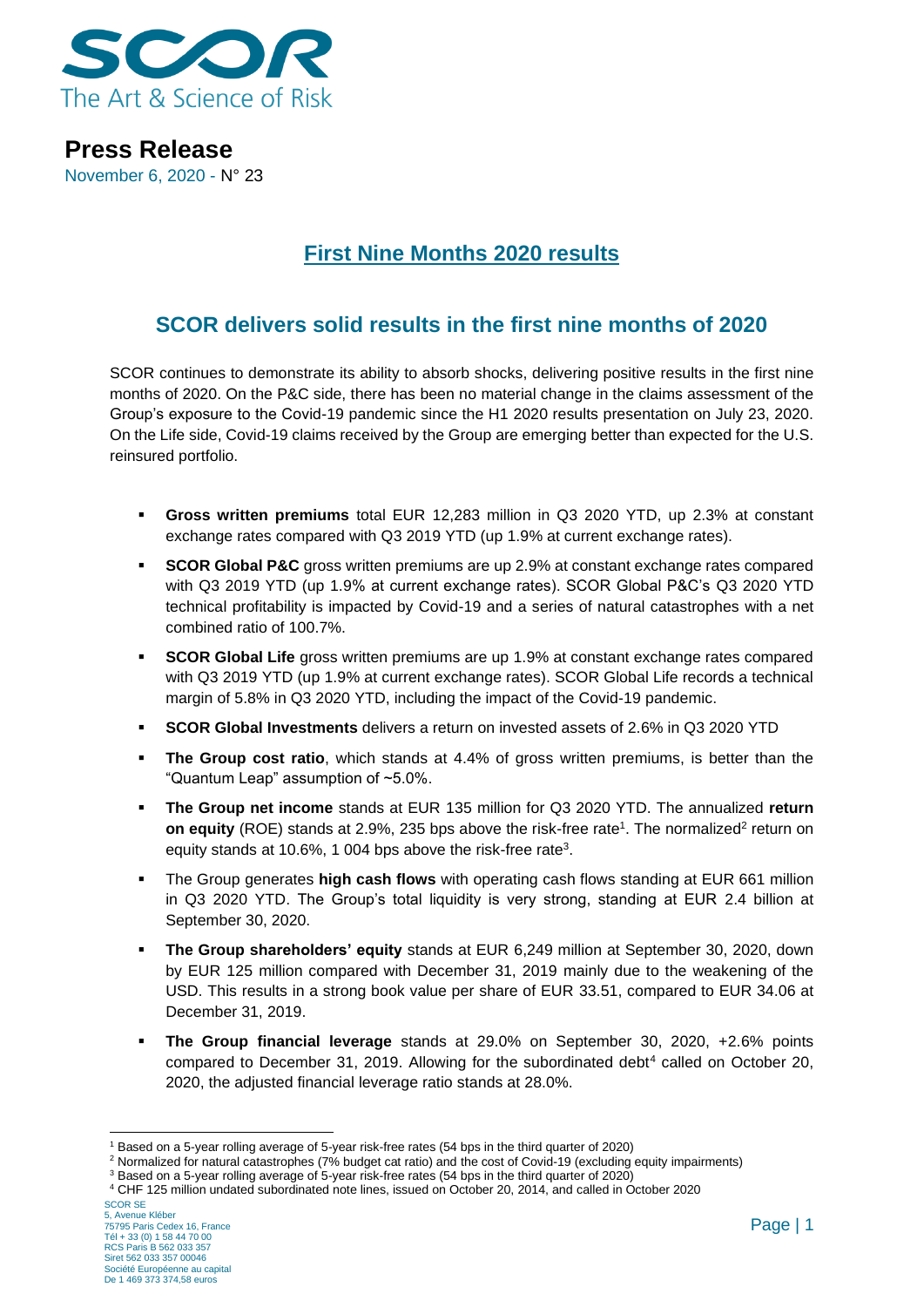

**Press Release** November 6, 2020 - N° 23

### **First Nine Months 2020 results**

### **SCOR delivers solid results in the first nine months of 2020**

SCOR continues to demonstrate its ability to absorb shocks, delivering positive results in the first nine months of 2020. On the P&C side, there has been no material change in the claims assessment of the Group's exposure to the Covid-19 pandemic since the H1 2020 results presentation on July 23, 2020. On the Life side, Covid-19 claims received by the Group are emerging better than expected for the U.S. reinsured portfolio.

- **Gross written premiums** total EUR 12,283 million in Q3 2020 YTD, up 2.3% at constant exchange rates compared with Q3 2019 YTD (up 1.9% at current exchange rates).
- **EXECOR Global P&C** gross written premiums are up 2.9% at constant exchange rates compared with Q3 2019 YTD (up 1.9% at current exchange rates). SCOR Global P&C's Q3 2020 YTD technical profitability is impacted by Covid-19 and a series of natural catastrophes with a net combined ratio of 100.7%.
- **EXECOR Global Life** gross written premiums are up 1.9% at constant exchange rates compared with Q3 2019 YTD (up 1.9% at current exchange rates). SCOR Global Life records a technical margin of 5.8% in Q3 2020 YTD, including the impact of the Covid-19 pandemic.
- **SCOR Global Investments** delivers a return on invested assets of 2.6% in Q3 2020 YTD
- **. The Group cost ratio**, which stands at 4.4% of gross written premiums, is better than the "Quantum Leap" assumption of ~5.0%.
- **The Group net income** stands at EUR 135 million for Q3 2020 YTD. The annualized **return on equity** (ROE) stands at 2.9%, 235 bps above the risk-free rate<sup>1</sup>. The normalized<sup>2</sup> return on equity stands at 10.6%, 1 004 bps above the risk-free rate<sup>3</sup>.
- **E** The Group generates **high cash flows** with operating cash flows standing at EUR 661 million in Q3 2020 YTD. The Group's total liquidity is very strong, standing at EUR 2.4 billion at September 30, 2020.
- **The Group shareholders' equity** stands at EUR 6,249 million at September 30, 2020, down by EUR 125 million compared with December 31, 2019 mainly due to the weakening of the USD. This results in a strong book value per share of EUR 33.51, compared to EUR 34.06 at December 31, 2019.
- **The Group financial leverage** stands at 29.0% on September 30, 2020, +2.6% points compared to December 31, 2019. Allowing for the subordinated debt<sup>4</sup> called on October 20, 2020, the adjusted financial leverage ratio stands at 28.0%.

<sup>1</sup> Based on a 5-year rolling average of 5-year risk-free rates (54 bps in the third quarter of 2020)

<sup>2</sup> Normalized for natural catastrophes (7% budget cat ratio) and the cost of Covid-19 (excluding equity impairments)

<sup>3</sup> Based on a 5-year rolling average of 5-year risk-free rates (54 bps in the third quarter of 2020)

<sup>4</sup> CHF 125 million undated subordinated note lines, issued on October 20, 2014, and called in October 2020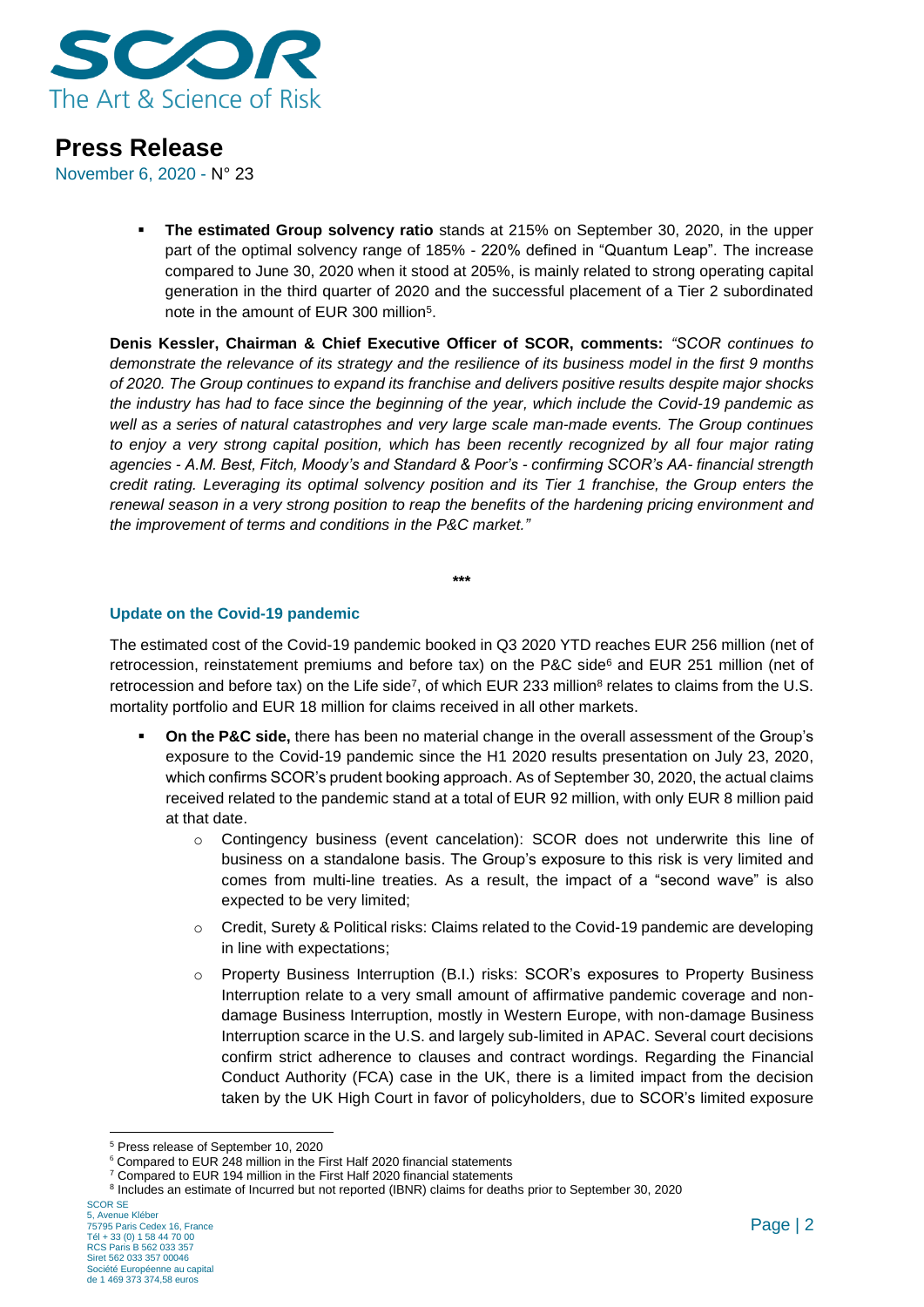

November 6, 2020 - N° 23

▪ **The estimated Group solvency ratio** stands at 215% on September 30, 2020, in the upper part of the optimal solvency range of 185% - 220% defined in "Quantum Leap". The increase compared to June 30, 2020 when it stood at 205%, is mainly related to strong operating capital generation in the third quarter of 2020 and the successful placement of a Tier 2 subordinated note in the amount of EUR 300 million<sup>5</sup>.

**Denis Kessler, Chairman & Chief Executive Officer of SCOR, comments:** *"SCOR continues to demonstrate the relevance of its strategy and the resilience of its business model in the first 9 months of 2020. The Group continues to expand its franchise and delivers positive results despite major shocks the industry has had to face since the beginning of the year, which include the Covid-19 pandemic as well as a series of natural catastrophes and very large scale man-made events. The Group continues to enjoy a very strong capital position, which has been recently recognized by all four major rating agencies - A.M. Best, Fitch, Moody's and Standard & Poor's - confirming SCOR's AA- financial strength credit rating. Leveraging its optimal solvency position and its Tier 1 franchise, the Group enters the renewal season in a very strong position to reap the benefits of the hardening pricing environment and the improvement of terms and conditions in the P&C market."*

**\*\*\***

### **Update on the Covid-19 pandemic**

The estimated cost of the Covid-19 pandemic booked in Q3 2020 YTD reaches EUR 256 million (net of retrocession, reinstatement premiums and before tax) on the P&C side<sup>6</sup> and EUR 251 million (net of retrocession and before tax) on the Life side<sup>7</sup>, of which EUR 233 million<sup>8</sup> relates to claims from the U.S. mortality portfolio and EUR 18 million for claims received in all other markets.

- **On the P&C side,** there has been no material change in the overall assessment of the Group's exposure to the Covid-19 pandemic since the H1 2020 results presentation on July 23, 2020, which confirms SCOR's prudent booking approach. As of September 30, 2020, the actual claims received related to the pandemic stand at a total of EUR 92 million, with only EUR 8 million paid at that date.
	- o Contingency business (event cancelation): SCOR does not underwrite this line of business on a standalone basis. The Group's exposure to this risk is very limited and comes from multi-line treaties. As a result, the impact of a "second wave" is also expected to be very limited;
	- o Credit, Surety & Political risks: Claims related to the Covid-19 pandemic are developing in line with expectations;
	- o Property Business Interruption (B.I.) risks: SCOR's exposures to Property Business Interruption relate to a very small amount of affirmative pandemic coverage and nondamage Business Interruption, mostly in Western Europe, with non-damage Business Interruption scarce in the U.S. and largely sub-limited in APAC. Several court decisions confirm strict adherence to clauses and contract wordings. Regarding the Financial Conduct Authority (FCA) case in the UK, there is a limited impact from the decision taken by the UK High Court in favor of policyholders, due to SCOR's limited exposure

<sup>5</sup> Press release of September 10, 2020

<sup>6</sup> Compared to EUR 248 million in the First Half 2020 financial statements

<sup>&</sup>lt;sup>7</sup> Compared to EUR 194 million in the First Half 2020 financial statements

<sup>&</sup>lt;sup>8</sup> Includes an estimate of Incurred but not reported (IBNR) claims for deaths prior to September 30, 2020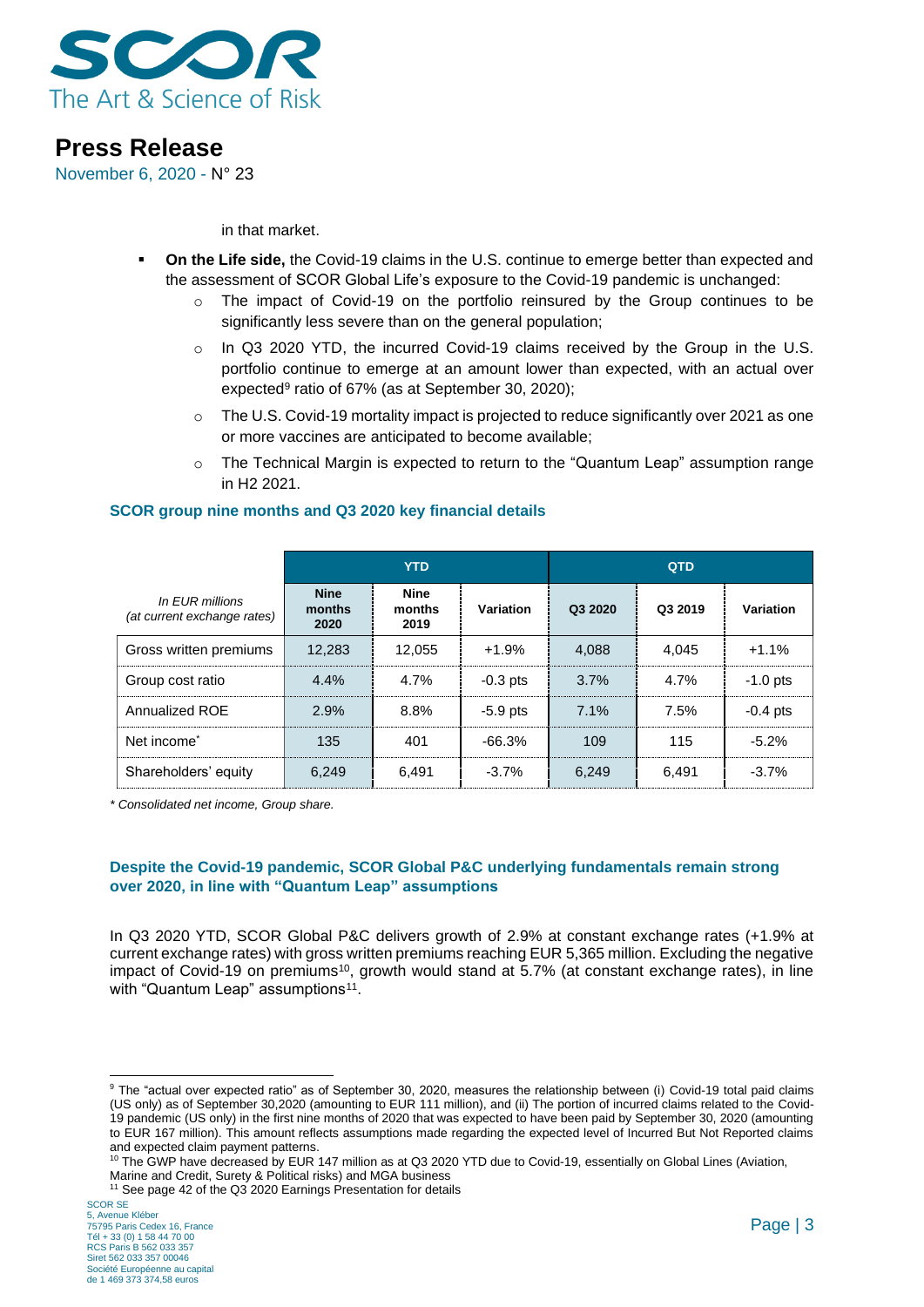

November 6, 2020 - N° 23

in that market.

- **On the Life side, the Covid-19 claims in the U.S. continue to emerge better than expected and** the assessment of SCOR Global Life's exposure to the Covid-19 pandemic is unchanged:
	- $\circ$  The impact of Covid-19 on the portfolio reinsured by the Group continues to be significantly less severe than on the general population;
	- o In Q3 2020 YTD, the incurred Covid-19 claims received by the Group in the U.S. portfolio continue to emerge at an amount lower than expected, with an actual over expected<sup>9</sup> ratio of 67% (as at September 30, 2020);
	- o The U.S. Covid-19 mortality impact is projected to reduce significantly over 2021 as one or more vaccines are anticipated to become available;
	- $\circ$  The Technical Margin is expected to return to the "Quantum Leap" assumption range in H2 2021.

### **SCOR group nine months and Q3 2020 key financial details**

|                                                | <b>YTD</b>                    |                               |            | <b>QTD</b> |         |            |
|------------------------------------------------|-------------------------------|-------------------------------|------------|------------|---------|------------|
| In EUR millions<br>(at current exchange rates) | <b>Nine</b><br>months<br>2020 | <b>Nine</b><br>months<br>2019 | Variation  | Q3 2020    | Q3 2019 | Variation  |
| Gross written premiums                         | 12.283                        | 12.055                        | $+1.9%$    | 4,088      | 4.045   | $+1.1%$    |
| Group cost ratio                               | 4.4%                          | 4.7%                          | $-0.3$ pts | 3.7%       | 4.7%    | $-1.0$ pts |
| Annualized ROE                                 | 2.9%                          | 8.8%                          | $-5.9$ pts | 7.1%       | 7.5%    | $-0.4$ pts |
| Net income <sup>*</sup>                        | 135                           | 401                           | $-66.3%$   | 109        | 115     | $-5.2%$    |
| Shareholders' equity                           | 6.249                         | 6.491                         | $-3.7%$    | 6,249      | 6.491   | $-3.7%$    |

*\* Consolidated net income, Group share.*

#### **Despite the Covid-19 pandemic, SCOR Global P&C underlying fundamentals remain strong over 2020, in line with "Quantum Leap" assumptions**

In Q3 2020 YTD, SCOR Global P&C delivers growth of 2.9% at constant exchange rates (+1.9% at current exchange rates) with gross written premiums reaching EUR 5,365 million. Excluding the negative impact of Covid-19 on premiums<sup>10</sup>, growth would stand at 5.7% (at constant exchange rates), in line with "Quantum Leap" assumptions<sup>11</sup>.

<sup>9</sup> The "actual over expected ratio" as of September 30, 2020, measures the relationship between (i) Covid-19 total paid claims (US only) as of September 30,2020 (amounting to EUR 111 million), and (ii) The portion of incurred claims related to the Covid-19 pandemic (US only) in the first nine months of 2020 that was expected to have been paid by September 30, 2020 (amounting to EUR 167 million). This amount reflects assumptions made regarding the expected level of Incurred But Not Reported claims and expected claim payment patterns.

<sup>&</sup>lt;sup>10</sup> The GWP have decreased by EUR 147 million as at Q3 2020 YTD due to Covid-19, essentially on Global Lines (Aviation,

Marine and Credit, Surety & Political risks) and MGA business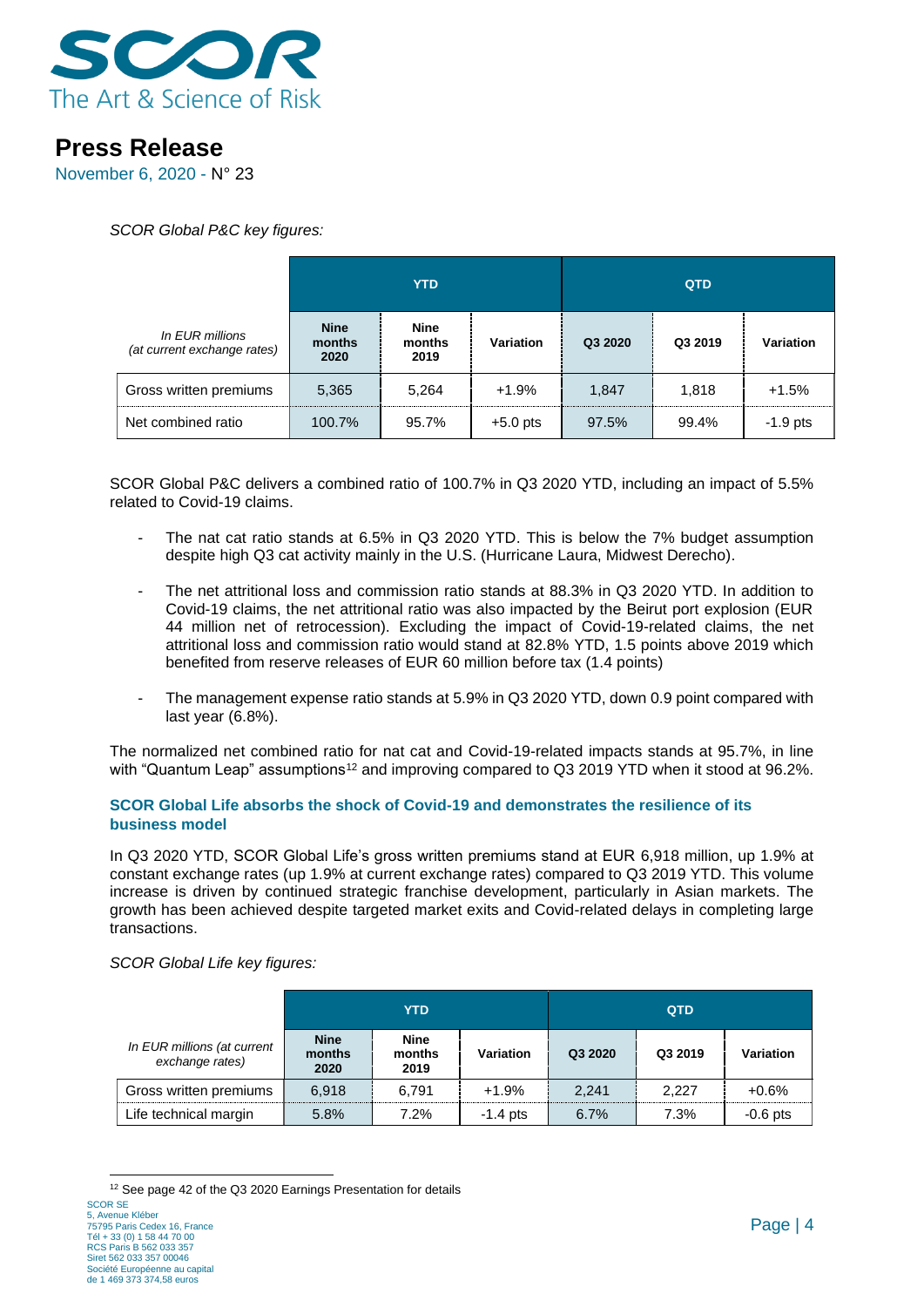

November 6, 2020 - N° 23

*SCOR Global P&C key figures:*

|                                                | <b>YTD</b>                    |                               |            |         |         |            | QTD |  |
|------------------------------------------------|-------------------------------|-------------------------------|------------|---------|---------|------------|-----|--|
| In EUR millions<br>(at current exchange rates) | <b>Nine</b><br>months<br>2020 | <b>Nine</b><br>months<br>2019 | Variation  | Q3 2020 | Q3 2019 | Variation  |     |  |
| Gross written premiums                         | 5,365                         | 5,264                         | $+1.9%$    | 1,847   | 1,818   | $+1.5%$    |     |  |
| Net combined ratio                             | 100.7%                        | 95.7%                         | $+5.0$ pts | 97.5%   | 99.4%   | $-1.9$ pts |     |  |

SCOR Global P&C delivers a combined ratio of 100.7% in Q3 2020 YTD, including an impact of 5.5% related to Covid-19 claims.

- The nat cat ratio stands at 6.5% in Q3 2020 YTD. This is below the 7% budget assumption despite high Q3 cat activity mainly in the U.S. (Hurricane Laura, Midwest Derecho).
- The net attritional loss and commission ratio stands at 88.3% in Q3 2020 YTD. In addition to Covid-19 claims, the net attritional ratio was also impacted by the Beirut port explosion (EUR 44 million net of retrocession). Excluding the impact of Covid-19-related claims, the net attritional loss and commission ratio would stand at 82.8% YTD, 1.5 points above 2019 which benefited from reserve releases of EUR 60 million before tax (1.4 points)
- The management expense ratio stands at 5.9% in Q3 2020 YTD, down 0.9 point compared with last year (6.8%).

The normalized net combined ratio for nat cat and Covid-19-related impacts stands at 95.7%, in line with "Quantum Leap" assumptions<sup>12</sup> and improving compared to Q3 2019 YTD when it stood at 96.2%.

### **SCOR Global Life absorbs the shock of Covid-19 and demonstrates the resilience of its business model**

In Q3 2020 YTD, SCOR Global Life's gross written premiums stand at EUR 6,918 million, up 1.9% at constant exchange rates (up 1.9% at current exchange rates) compared to Q3 2019 YTD. This volume increase is driven by continued strategic franchise development, particularly in Asian markets. The growth has been achieved despite targeted market exits and Covid-related delays in completing large transactions.

*SCOR Global Life key figures:* 

|                                                | <b>YTD</b>                    |                               |            | <b>QTD</b> |         |            |
|------------------------------------------------|-------------------------------|-------------------------------|------------|------------|---------|------------|
| In EUR millions (at current<br>exchange rates) | <b>Nine</b><br>months<br>2020 | <b>Nine</b><br>months<br>2019 | Variation  | Q3 2020    | Q3 2019 | Variation  |
| Gross written premiums                         | 6.918                         | 6.791                         | $+1.9%$    | 2.241      | 2.227   | $+0.6%$    |
| Life technical margin                          | 5.8%                          | 7.2%                          | $-1.4$ pts | 6.7%       | 7.3%    | $-0.6$ pts |

SCOR SE <sup>12</sup> See page 42 of the Q3 2020 Earnings Presentation for details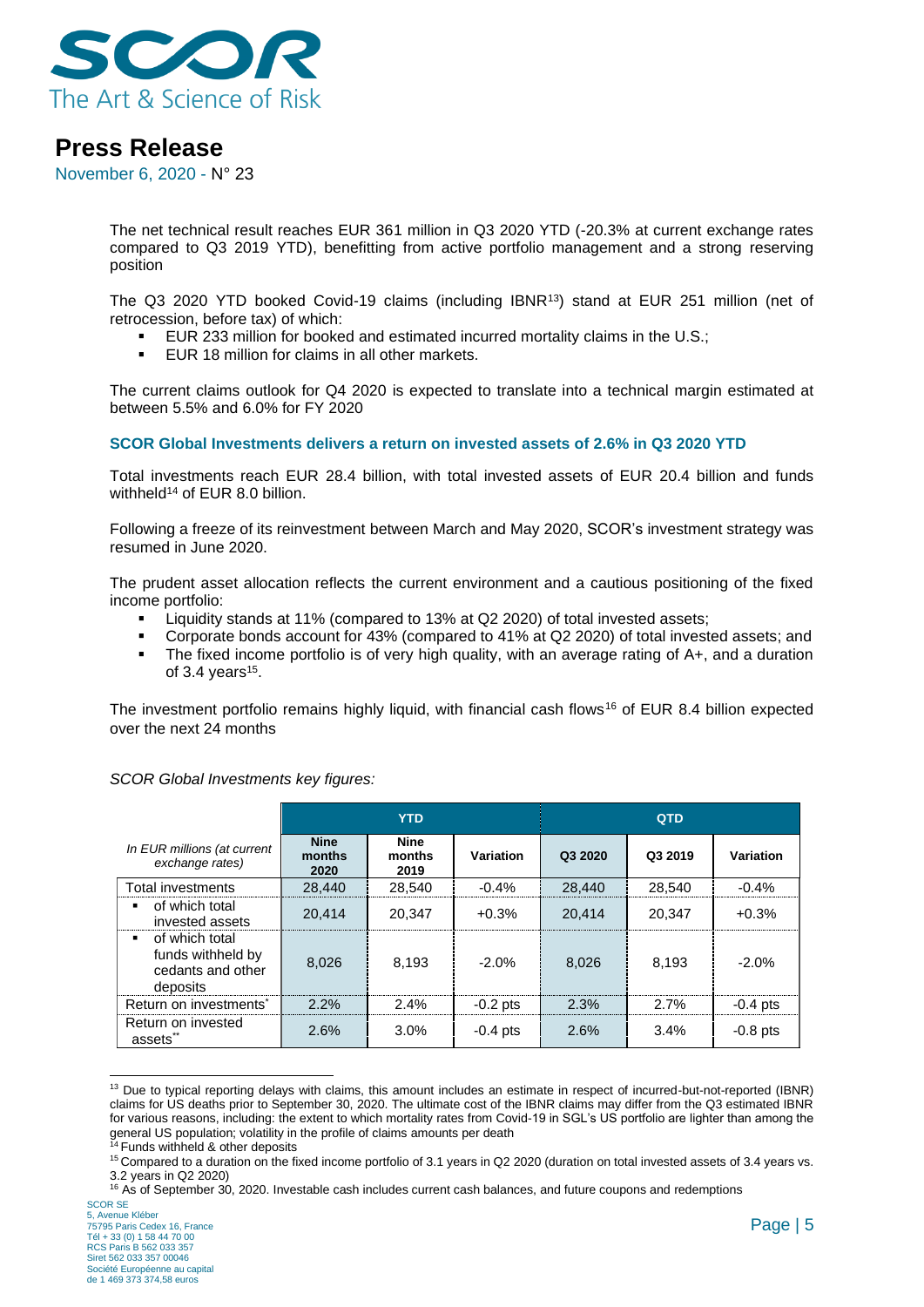

November 6, 2020 - N° 23

The net technical result reaches EUR 361 million in Q3 2020 YTD (-20.3% at current exchange rates compared to Q3 2019 YTD), benefitting from active portfolio management and a strong reserving position

The Q3 2020 YTD booked Covid-19 claims (including IBNR<sup>13</sup>) stand at EUR 251 million (net of retrocession, before tax) of which:

- EUR 233 million for booked and estimated incurred mortality claims in the U.S.;
- EUR 18 million for claims in all other markets.

The current claims outlook for Q4 2020 is expected to translate into a technical margin estimated at between 5.5% and 6.0% for FY 2020

#### **SCOR Global Investments delivers a return on invested assets of 2.6% in Q3 2020 YTD**

Total investments reach EUR 28.4 billion, with total invested assets of EUR 20.4 billion and funds withheld<sup>14</sup> of EUR 8.0 billion.

Following a freeze of its reinvestment between March and May 2020, SCOR's investment strategy was resumed in June 2020.

The prudent asset allocation reflects the current environment and a cautious positioning of the fixed income portfolio:

- Liquidity stands at 11% (compared to 13% at Q2 2020) of total invested assets;
- Corporate bonds account for 43% (compared to 41% at Q2 2020) of total invested assets; and
- The fixed income portfolio is of very high quality, with an average rating of A+, and a duration of 3.4 years<sup>15</sup>.

The investment portfolio remains highly liquid, with financial cash flows<sup>16</sup> of EUR 8.4 billion expected over the next 24 months

|                                                                      | <b>YTD</b>                    |                               |            | <b>QTD</b> |         |            |
|----------------------------------------------------------------------|-------------------------------|-------------------------------|------------|------------|---------|------------|
| In EUR millions (at current<br>exchange rates)                       | <b>Nine</b><br>months<br>2020 | <b>Nine</b><br>months<br>2019 | Variation  | Q3 2020    | Q3 2019 | Variation  |
| Total investments                                                    | 28,440                        | 28.540                        | $-0.4%$    | 28,440     | 28.540  | $-0.4%$    |
| of which total<br>invested assets                                    | 20,414                        | 20.347                        | $+0.3%$    | 20.414     | 20.347  | $+0.3%$    |
| of which total<br>funds withheld by<br>cedants and other<br>deposits | 8,026                         | 8,193                         | $-2.0%$    | 8.026      | 8.193   | $-2.0%$    |
| Return on investments*                                               | 2.2%                          | 2.4%                          | $-0.2$ pts | 2.3%       | 2.7%    | $-0.4$ pts |
| Return on invested<br>assets <sup>**</sup>                           | 2.6%                          | 3.0%                          | $-0.4$ pts | 2.6%       | 3.4%    | $-0.8$ pts |

*SCOR Global Investments key figures:*

<sup>&</sup>lt;sup>13</sup> Due to typical reporting delays with claims, this amount includes an estimate in respect of incurred-but-not-reported (IBNR) claims for US deaths prior to September 30, 2020. The ultimate cost of the IBNR claims may differ from the Q3 estimated IBNR for various reasons, including: the extent to which mortality rates from Covid-19 in SGL's US portfolio are lighter than among the general US population; volatility in the profile of claims amounts per death

<sup>&</sup>lt;sup>14</sup> Funds withheld & other deposits

<sup>&</sup>lt;sup>15</sup> Compared to a duration on the fixed income portfolio of 3.1 years in Q2 2020 (duration on total invested assets of 3.4 years vs. 3.2 years in Q2 2020)

<sup>&</sup>lt;sup>16</sup> As of September 30, 2020. Investable cash includes current cash balances, and future coupons and redemptions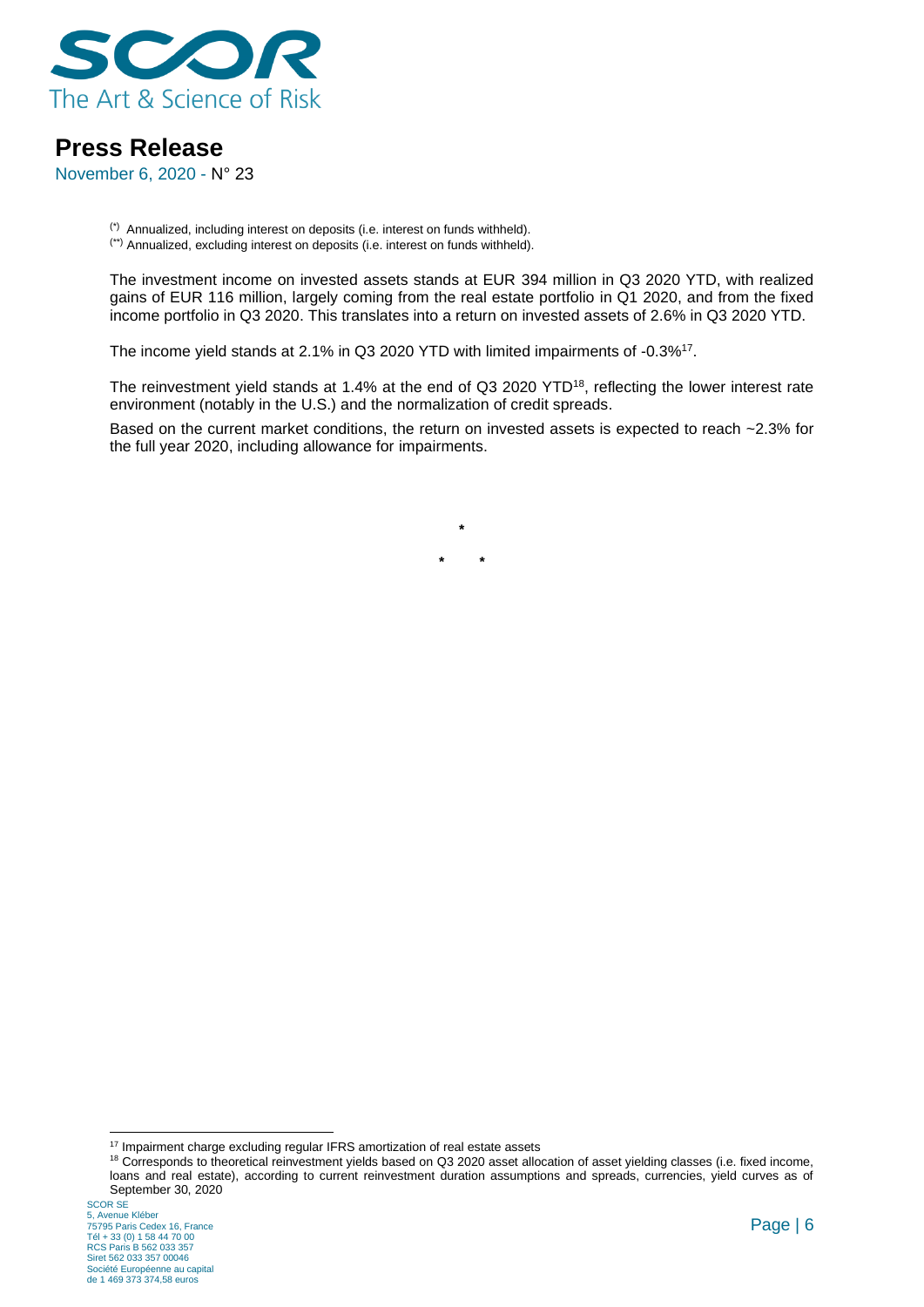

November 6, 2020 - N° 23

(\*) Annualized, including interest on deposits (i.e. interest on funds withheld). (\*\*) Annualized, excluding interest on deposits (i.e. interest on funds withheld).

The investment income on invested assets stands at EUR 394 million in Q3 2020 YTD, with realized gains of EUR 116 million, largely coming from the real estate portfolio in Q1 2020, and from the fixed income portfolio in Q3 2020. This translates into a return on invested assets of 2.6% in Q3 2020 YTD.

The income yield stands at 2.1% in Q3 2020 YTD with limited impairments of -0.3%<sup>17</sup>.

The reinvestment yield stands at 1.4% at the end of Q3 2020 YTD<sup>18</sup>, reflecting the lower interest rate environment (notably in the U.S.) and the normalization of credit spreads.

Based on the current market conditions, the return on invested assets is expected to reach ~2.3% for the full year 2020, including allowance for impairments.

> **\* \* \***

<sup>&</sup>lt;sup>17</sup> Impairment charge excluding regular IFRS amortization of real estate assets

<sup>18</sup> Corresponds to theoretical reinvestment yields based on Q3 2020 asset allocation of asset yielding classes (i.e. fixed income, loans and real estate), according to current reinvestment duration assumptions and spreads, currencies, yield curves as of September 30, 2020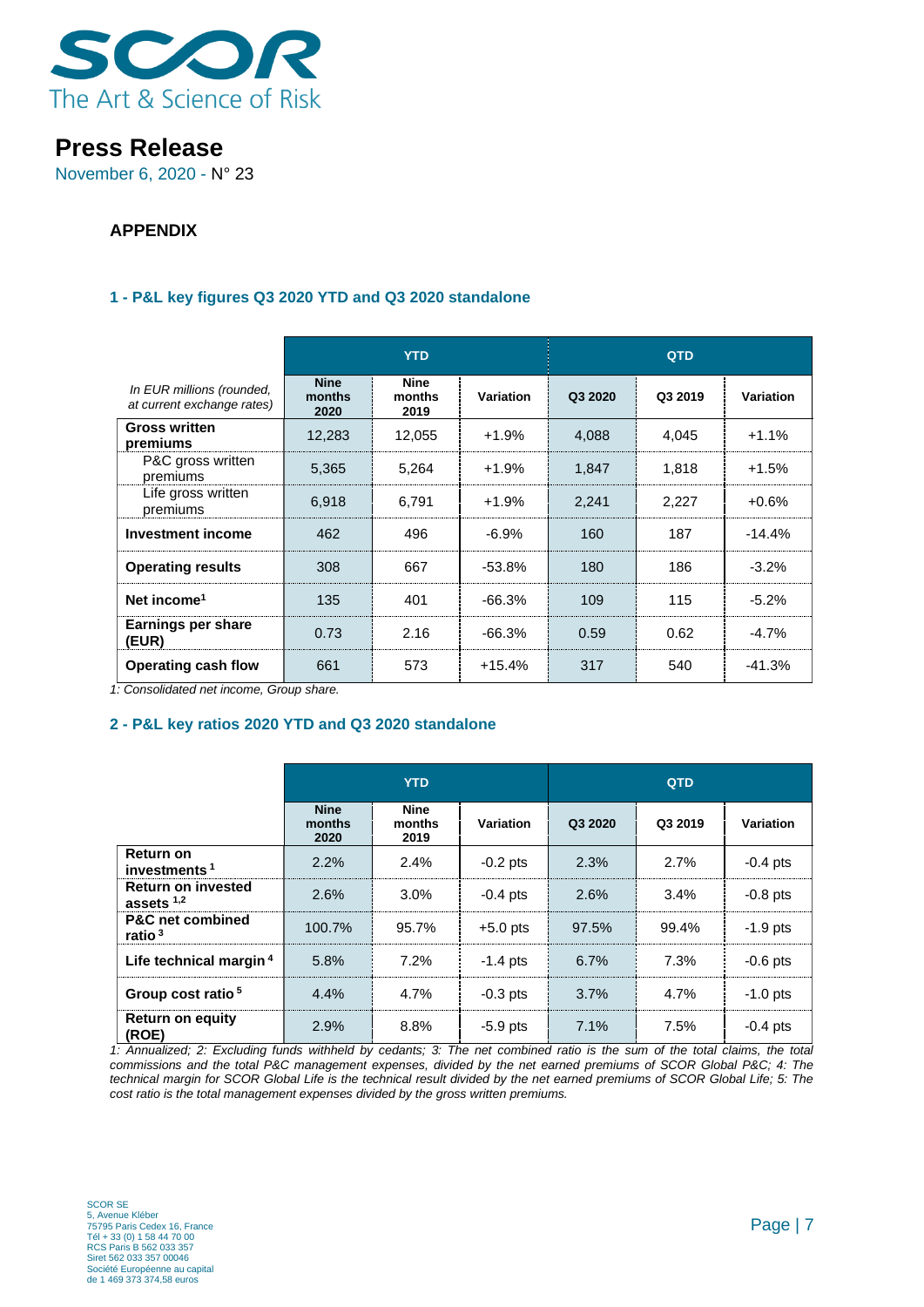

November 6, 2020 - N° 23

### **APPENDIX**

### **1 - P&L key figures Q3 2020 YTD and Q3 2020 standalone**

|                                                         | <b>YTD</b>                    |                               |                  | QTD     |         |           |
|---------------------------------------------------------|-------------------------------|-------------------------------|------------------|---------|---------|-----------|
| In EUR millions (rounded,<br>at current exchange rates) | <b>Nine</b><br>months<br>2020 | <b>Nine</b><br>months<br>2019 | <b>Variation</b> | Q3 2020 | Q3 2019 | Variation |
| <b>Gross written</b><br>premiums                        | 12,283                        | 12,055                        | $+1.9%$          | 4,088   | 4,045   | $+1.1%$   |
| P&C gross written<br>premiums                           | 5,365                         | 5,264                         | $+1.9%$          | 1,847   | 1,818   | $+1.5%$   |
| Life gross written<br>premiums                          | 6,918                         | 6,791                         | $+1.9%$          | 2,241   | 2,227   | $+0.6%$   |
| <b>Investment income</b>                                | 462                           | 496                           | $-6.9\%$         | 160     | 187     | $-14.4%$  |
| <b>Operating results</b>                                | 308                           | 667                           | $-53.8%$         | 180     | 186     | $-3.2%$   |
| Net income <sup>1</sup>                                 | 135                           | 401                           | $-66.3%$         | 109     | 115     | $-5.2%$   |
| Earnings per share<br>(EUR)                             | 0.73                          | 2.16                          | $-66.3%$         | 0.59    | 0.62    | $-4.7%$   |
| <b>Operating cash flow</b>                              | 661                           | 573                           | $+15.4%$         | 317     | 540     | $-41.3%$  |

*1: Consolidated net income, Group share.*

### **2 - P&L key ratios 2020 YTD and Q3 2020 standalone**

|                                              | YTD                           |                        |            | <b>QTD</b> |         |                  |
|----------------------------------------------|-------------------------------|------------------------|------------|------------|---------|------------------|
|                                              | <b>Nine</b><br>months<br>2020 | Nine<br>months<br>2019 | Variation  | Q3 2020    | Q3 2019 | <b>Variation</b> |
| <b>Return on</b><br>investments <sup>1</sup> | 2.2%                          | 2.4%                   | $-0.2$ pts | 2.3%       | 2.7%    | $-0.4$ pts       |
| <b>Return on invested</b><br>assets $1,2$    | 2.6%                          | $3.0\%$                | $-0.4$ pts | 2.6%       | $3.4\%$ | $-0.8$ pts       |
| <b>P&amp;C</b> net combined<br>ratio $3$     | 100.7%                        | 95.7%                  | $+5.0$ pts | 97.5%      | 99.4%   | $-1.9$ pts       |
| Life technical margin <sup>4</sup>           | 5.8%                          | 7.2%                   | $-1.4$ pts | 6.7%       | 7.3%    | $-0.6$ pts       |
| Group cost ratio <sup>5</sup>                | 4.4%                          | $4.7\%$                | $-0.3$ pts | 3.7%       | 4.7%    | $-1.0$ pts       |
| <b>Return on equity</b><br>(ROE)             | 2.9%                          | 8.8%                   | $-5.9$ pts | 7.1%       | 7.5%    | $-0.4$ pts       |

1: Annualized; 2: Excluding funds withheld by cedants; 3: The net combined ratio is the sum of the total claims, the total *commissions and the total P&C management expenses, divided by the net earned premiums of SCOR Global P&C; 4: The*  technical margin for SCOR Global Life is the technical result divided by the net earned premiums of SCOR Global Life; 5: The *cost ratio is the total management expenses divided by the gross written premiums.*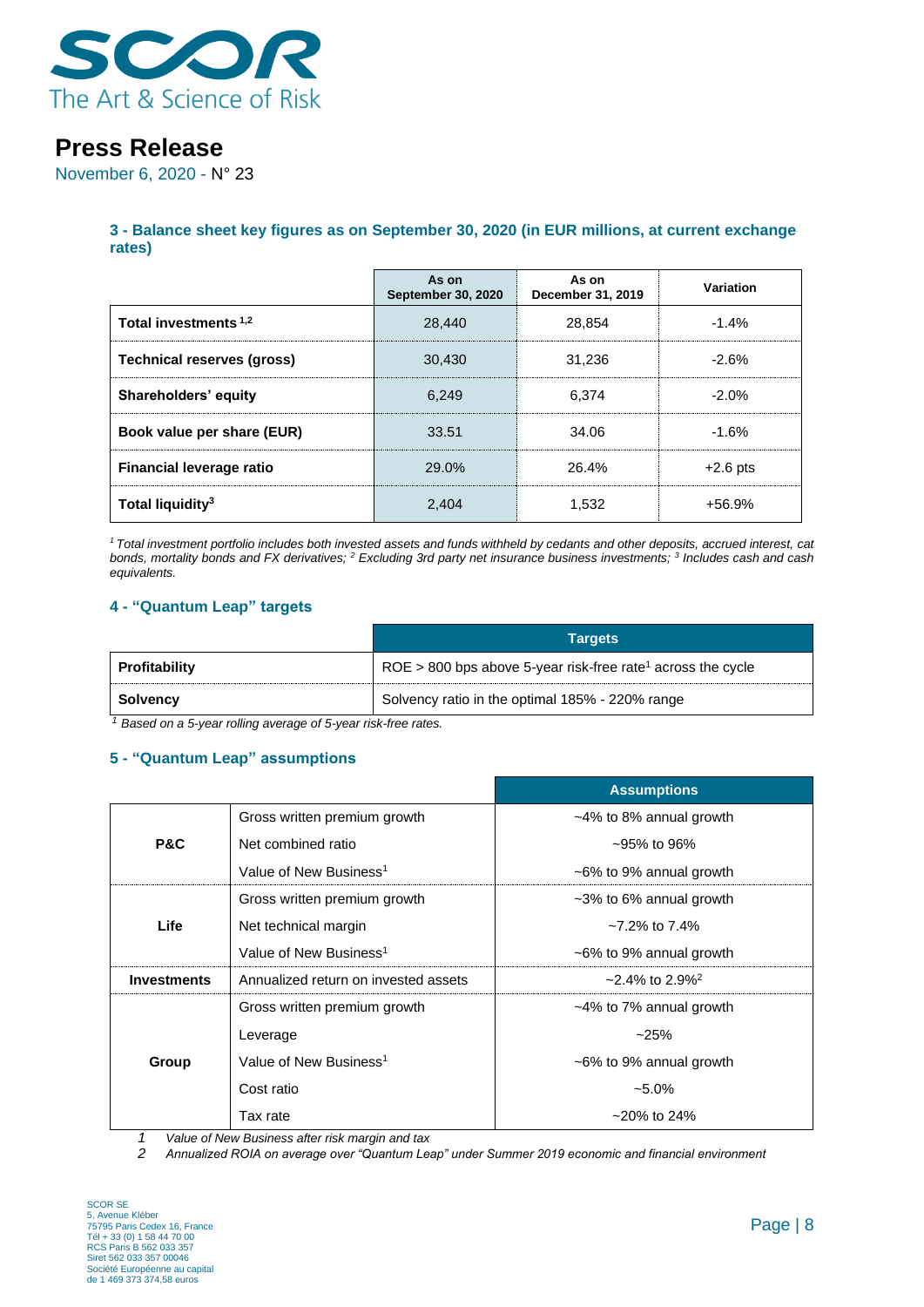

November 6, 2020 - N° 23

**3 - Balance sheet key figures as on September 30, 2020 (in EUR millions, at current exchange rates)**

|                                  | As on<br><b>September 30, 2020</b> | As on<br>December 31, 2019 | Variation  |
|----------------------------------|------------------------------------|----------------------------|------------|
| Total investments <sup>1,2</sup> | 28.440                             | 28.854                     | $-1.4%$    |
| Technical reserves (gross)       | 30.430                             | 31.236                     | $-2.6%$    |
| Shareholders' equity             | 6.249                              | 6.374                      | $-2.0%$    |
| Book value per share (EUR)       | 33.51                              | 34.06                      | $-1.6%$    |
| <b>Financial leverage ratio</b>  | 29.0%                              | 26.4%                      | $+2.6$ pts |
| Total liquidity <sup>3</sup>     | 2.404                              | 1.532                      | $+56.9%$   |

*<sup>1</sup> Total investment portfolio includes both invested assets and funds withheld by cedants and other deposits, accrued interest, cat bonds, mortality bonds and FX derivatives; <sup>2</sup> Excluding 3rd party net insurance business investments; <sup>3</sup> Includes cash and cash equivalents.*

### **4 - "Quantum Leap" targets**

|               | <b>Targets</b>                                                                  |
|---------------|---------------------------------------------------------------------------------|
| Profitability | $\vert$ ROE > 800 bps above 5-year risk-free rate <sup>1</sup> across the cycle |
| ∣ Solvency    | Solvency ratio in the optimal 185% - 220% range                                 |

*<sup>1</sup> Based on a 5-year rolling average of 5-year risk-free rates.*

#### **5 - "Quantum Leap" assumptions**

|                    |                                      | <b>Assumptions</b>                  |
|--------------------|--------------------------------------|-------------------------------------|
|                    | Gross written premium growth         | $~14\%$ to 8% annual growth         |
| <b>P&amp;C</b>     | Net combined ratio                   | $-95\%$ to 96%                      |
|                    | Value of New Business <sup>1</sup>   | $~5\%$ to 9% annual growth          |
|                    | Gross written premium growth         | ~3% to 6% annual growth             |
| Life               | Net technical margin                 | $\sim$ 7.2% to 7.4%                 |
|                    | Value of New Business <sup>1</sup>   | $\sim$ 6% to 9% annual growth       |
| <b>Investments</b> | Annualized return on invested assets | $\approx$ 2.4% to 2.9% <sup>2</sup> |
|                    | Gross written premium growth         | $~14\%$ to 7% annual growth         |
|                    | Leverage                             | $-25%$                              |
| Group              | Value of New Business <sup>1</sup>   | $~5\%$ to 9% annual growth          |
|                    | Cost ratio                           | $-5.0\%$                            |
|                    | Tax rate                             | $~20\%$ to 24%                      |

*1 Value of New Business after risk margin and tax*

*2 Annualized ROIA on average over "Quantum Leap" under Summer 2019 economic and financial environment*